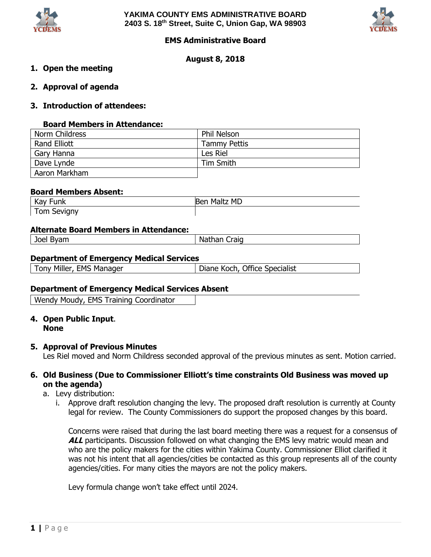



### **EMS Administrative Board**

### **August 8, 2018**

### **1. Open the meeting**

**2. Approval of agenda**

### **3. Introduction of attendees:**

### **Board Members in Attendance:**

| Norm Childress | <b>Phil Nelson</b>  |
|----------------|---------------------|
| Rand Elliott   | <b>Tammy Pettis</b> |
| Gary Hanna     | Les Riel            |
| Dave Lynde     | Tim Smith           |
| Aaron Markham  |                     |

### **Board Members Absent:**

| Kay<br>Funk | Maltz MD<br><b>Ber</b> |  |
|-------------|------------------------|--|
| Tom Sevigny |                        |  |

### **Alternate Board Members in Attendance:**

| WAP<br>ັງປະຕິ<br>um | <b>Craig</b><br>.<br>ina.<br>Пđ<br>_________ |
|---------------------|----------------------------------------------|
|                     |                                              |

### **Department of Emergency Medical Services**

|  | Tony Miller, EMS Manager | Diane K |
|--|--------------------------|---------|
|  |                          |         |

**Coch, Office Specialist** 

### **Department of Emergency Medical Services Absent**

Wendy Moudy, EMS Training Coordinator

# **4. Open Public Input**.

# **None**

### **5. Approval of Previous Minutes**

Les Riel moved and Norm Childress seconded approval of the previous minutes as sent. Motion carried.

### **6. Old Business (Due to Commissioner Elliott's time constraints Old Business was moved up on the agenda)**

### a. Levy distribution:

i. Approve draft resolution changing the levy. The proposed draft resolution is currently at County legal for review. The County Commissioners do support the proposed changes by this board.

Concerns were raised that during the last board meeting there was a request for a consensus of ALL participants. Discussion followed on what changing the EMS levy matric would mean and who are the policy makers for the cities within Yakima County. Commissioner Elliot clarified it was not his intent that all agencies/cities be contacted as this group represents all of the county agencies/cities. For many cities the mayors are not the policy makers.

Levy formula change won't take effect until 2024.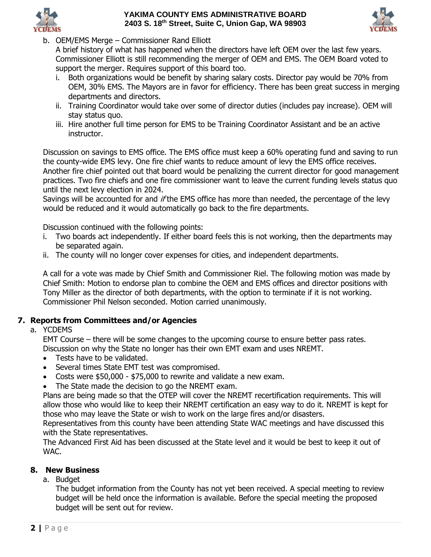



b. OEM/EMS Merge – Commissioner Rand Elliott

A brief history of what has happened when the directors have left OEM over the last few years. Commissioner Elliott is still recommending the merger of OEM and EMS. The OEM Board voted to support the merger. Requires support of this board too.

- i. Both organizations would be benefit by sharing salary costs. Director pay would be 70% from OEM, 30% EMS. The Mayors are in favor for efficiency. There has been great success in merging departments and directors.
- ii. Training Coordinator would take over some of director duties (includes pay increase). OEM will stay status quo.
- iii. Hire another full time person for EMS to be Training Coordinator Assistant and be an active instructor.

Discussion on savings to EMS office. The EMS office must keep a 60% operating fund and saving to run the county-wide EMS levy. One fire chief wants to reduce amount of levy the EMS office receives. Another fire chief pointed out that board would be penalizing the current director for good management practices. Two fire chiefs and one fire commissioner want to leave the current funding levels status quo until the next levy election in 2024.

Savings will be accounted for and if the EMS office has more than needed, the percentage of the levy would be reduced and it would automatically go back to the fire departments.

Discussion continued with the following points:

- i. Two boards act independently. If either board feels this is not working, then the departments may be separated again.
- ii. The county will no longer cover expenses for cities, and independent departments.

A call for a vote was made by Chief Smith and Commissioner Riel. The following motion was made by Chief Smith: Motion to endorse plan to combine the OEM and EMS offices and director positions with Tony Miller as the director of both departments, with the option to terminate if it is not working. Commissioner Phil Nelson seconded. Motion carried unanimously.

## **7. Reports from Committees and/or Agencies**

a. YCDEMS

EMT Course – there will be some changes to the upcoming course to ensure better pass rates. Discussion on why the State no longer has their own EMT exam and uses NREMT.

- Tests have to be validated.
- Several times State EMT test was compromised.
- Costs were \$50,000 \$75,000 to rewrite and validate a new exam.
- The State made the decision to go the NREMT exam.

Plans are being made so that the OTEP will cover the NREMT recertification requirements. This will allow those who would like to keep their NREMT certification an easy way to do it. NREMT is kept for those who may leave the State or wish to work on the large fires and/or disasters.

Representatives from this county have been attending State WAC meetings and have discussed this with the State representatives.

The Advanced First Aid has been discussed at the State level and it would be best to keep it out of WAC.

## **8. New Business**

a. Budget

The budget information from the County has not yet been received. A special meeting to review budget will be held once the information is available. Before the special meeting the proposed budget will be sent out for review.